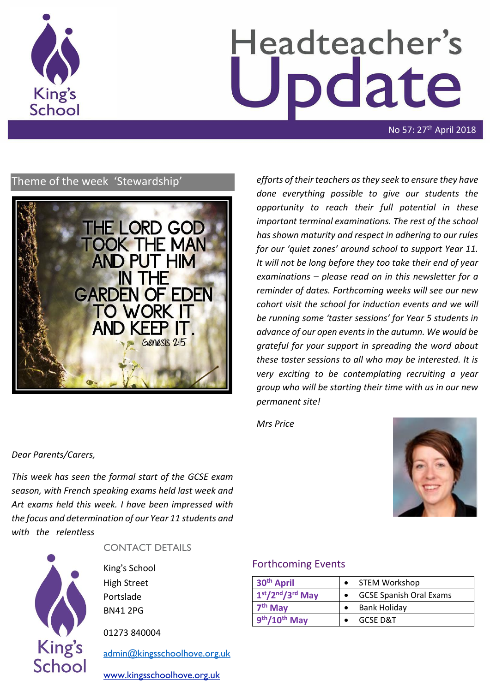

# Headteacher's Update

No 57: 27th April 2018

# Theme of the week 'Stewardship'



*efforts of their teachers as they seek to ensure they have done everything possible to give our students the opportunity to reach their full potential in these important terminal examinations. The rest of the school has shown maturity and respect in adhering to our rules for our 'quiet zones' around school to support Year 11. It will not be long before they too take their end of year examinations – please read on in this newsletter for a reminder of dates. Forthcoming weeks will see our new cohort visit the school for induction events and we will be running some 'taster sessions' for Year 5 students in advance of our open events in the autumn. We would be grateful for your support in spreading the word about these taster sessions to all who may be interested. It is very exciting to be contemplating recruiting a year group who will be starting their time with us in our new permanent site!*

*Mrs Price*





*Dear Parents/Carers,*

*with the relentless* 

#### CONTACT DETAILS

King's School High Street Portslade BN41 2PG

*This week has seen the formal start of the GCSE exam season, with French speaking exams held last week and Art exams held this week. I have been impressed with the focus and determination of our Year 11 students and* 

01273 840004

[admin@kingsschoolhove.org.uk](mailto:admin@kingsschoolhove.org.uk)

[www.kingsschoolhove.org.uk](http://www.kingsschoolhove.org.uk/)

#### Forthcoming Events

| 30 <sup>th</sup> April | <b>STEM Workshop</b>           |
|------------------------|--------------------------------|
| $1st/2nd/3rd$ May      | <b>GCSE Spanish Oral Exams</b> |
| 7 <sup>th</sup> May    | Bank Holiday                   |
| 9th/10th May           | GCSF D&T                       |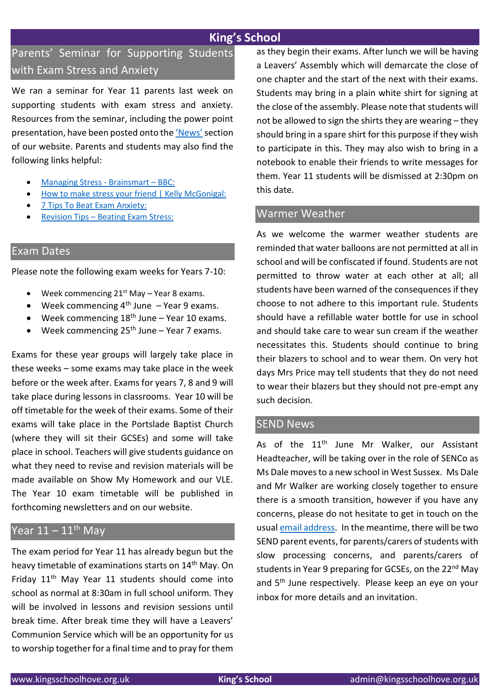# **King's School**

# Parents' Seminar for Supporting Students with Exam Stress and Anxiety

We ran a seminar for Year 11 parents last week on supporting students with exam stress and anxiety. Resources from the seminar, including the power point presentation, have been posted onto the ['News'](https://www.kingsschoolhove.org.uk/news.php)section of our website. Parents and students may also find the following links helpful:

- [Managing Stress -](https://www.youtube.com/watch?v=hnpQrMqDoqE) Brainsmart BBC:
- [How to make stress your friend | Kelly McGonigal:](https://www.youtube.com/watch?v=RcGyVTAoXEU)
- [7 Tips To Beat Exam Anxiety:](https://www.youtube.com/watch?v=FyBdA61GmJ0)
- Revision Tips [Beating Exam Stress:](https://www.youtube.com/watch?v=7AgswlakjRw)

#### Exam Dates

Please note the following exam weeks for Years 7-10:

- $\bullet$  Week commencing 21<sup>st</sup> May Year 8 exams.
- $\bullet$  Week commencing 4<sup>th</sup> June Year 9 exams.
- Week commencing  $18<sup>th</sup>$  June Year 10 exams.
- $\bullet$  Week commencing 25<sup>th</sup> June Year 7 exams.

Exams for these year groups will largely take place in these weeks – some exams may take place in the week before or the week after. Exams for years 7, 8 and 9 will take place during lessons in classrooms. Year 10 will be off timetable for the week of their exams. Some of their exams will take place in the Portslade Baptist Church (where they will sit their GCSEs) and some will take place in school. Teachers will give students guidance on what they need to revise and revision materials will be made available on Show My Homework and our VLE. The Year 10 exam timetable will be published in forthcoming newsletters and on our website.

# Year  $11 - 11$ <sup>th</sup> May

The exam period for Year 11 has already begun but the heavy timetable of examinations starts on 14<sup>th</sup> May. On Friday  $11<sup>th</sup>$  May Year 11 students should come into school as normal at 8:30am in full school uniform. They will be involved in lessons and revision sessions until break time. After break time they will have a Leavers' Communion Service which will be an opportunity for us to worship together for a final time and to pray for them as they begin their exams. After lunch we will be having a Leavers' Assembly which will demarcate the close of one chapter and the start of the next with their exams. Students may bring in a plain white shirt for signing at the close of the assembly. Please note that students will not be allowed to sign the shirts they are wearing – they should bring in a spare shirt for this purpose if they wish to participate in this. They may also wish to bring in a notebook to enable their friends to write messages for them. Year 11 students will be dismissed at 2:30pm on this date.

#### Warmer Weather

As we welcome the warmer weather students are reminded that water balloons are not permitted at all in school and will be confiscated if found. Students are not permitted to throw water at each other at all; all students have been warned of the consequences if they choose to not adhere to this important rule. Students should have a refillable water bottle for use in school and should take care to wear sun cream if the weather necessitates this. Students should continue to bring their blazers to school and to wear them. On very hot days Mrs Price may tell students that they do not need to wear their blazers but they should not pre-empt any such decision.

#### SEND News

As of the  $11<sup>th</sup>$  June Mr Walker, our Assistant Headteacher, will be taking over in the role of SENCo as Ms Dale moves to a new school in West Sussex. Ms Dale and Mr Walker are working closely together to ensure there is a smooth transition, however if you have any concerns, please do not hesitate to get in touch on the usual [email address.](mailto:admin@kingsschoolhove.org.uk) In the meantime, there will be two SEND parent events, for parents/carers of students with slow processing concerns, and parents/carers of students in Year 9 preparing for GCSEs, on the 22<sup>nd</sup> May and 5th June respectively. Please keep an eye on your inbox for more details and an invitation.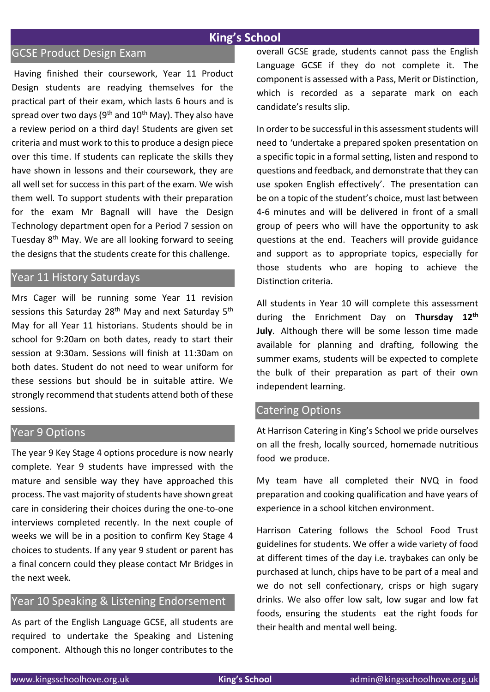### **King's School**

#### GCSE Product Design Exam

Having finished their coursework, Year 11 Product Design students are readying themselves for the practical part of their exam, which lasts 6 hours and is spread over two days ( $9<sup>th</sup>$  and  $10<sup>th</sup>$  May). They also have a review period on a third day! Students are given set criteria and must work to this to produce a design piece over this time. If students can replicate the skills they have shown in lessons and their coursework, they are all well set for success in this part of the exam. We wish them well. To support students with their preparation for the exam Mr Bagnall will have the Design Technology department open for a Period 7 session on Tuesday 8th May. We are all looking forward to seeing the designs that the students create for this challenge.

# Year 11 History Saturdays

Mrs Cager will be running some Year 11 revision sessions this Saturday 28<sup>th</sup> May and next Saturday 5<sup>th</sup> May for all Year 11 historians. Students should be in school for 9:20am on both dates, ready to start their session at 9:30am. Sessions will finish at 11:30am on both dates. Student do not need to wear uniform for these sessions but should be in suitable attire. We strongly recommend that students attend both of these sessions.

#### Year 9 Options

The year 9 Key Stage 4 options procedure is now nearly complete. Year 9 students have impressed with the mature and sensible way they have approached this process. The vast majority of students have shown great care in considering their choices during the one-to-one interviews completed recently. In the next couple of weeks we will be in a position to confirm Key Stage 4 choices to students. If any year 9 student or parent has a final concern could they please contact Mr Bridges in the next week.

# Year 10 Speaking & Listening Endorsement

As part of the English Language GCSE, all students are required to undertake the Speaking and Listening component. Although this no longer contributes to the overall GCSE grade, students cannot pass the English Language GCSE if they do not complete it. The component is assessed with a Pass, Merit or Distinction, which is recorded as a separate mark on each candidate's results slip.

In order to be successful in this assessment students will need to 'undertake a prepared spoken presentation on a specific topic in a formal setting, listen and respond to questions and feedback, and demonstrate that they can use spoken English effectively'. The presentation can be on a topic of the student's choice, must last between 4-6 minutes and will be delivered in front of a small group of peers who will have the opportunity to ask questions at the end. Teachers will provide guidance and support as to appropriate topics, especially for those students who are hoping to achieve the Distinction criteria.

All students in Year 10 will complete this assessment during the Enrichment Day on **Thursday 12th July**. Although there will be some lesson time made available for planning and drafting, following the summer exams, students will be expected to complete the bulk of their preparation as part of their own independent learning.

#### Catering Options

At Harrison Catering in King's School we pride ourselves on all the fresh, locally sourced, homemade nutritious food we produce.

My team have all completed their NVQ in food preparation and cooking qualification and have years of experience in a school kitchen environment.

Harrison Catering follows the School Food Trust guidelines for students. We offer a wide variety of food at different times of the day i.e. traybakes can only be purchased at lunch, chips have to be part of a meal and we do not sell confectionary, crisps or high sugary drinks. We also offer low salt, low sugar and low fat foods, ensuring the students eat the right foods for their health and mental well being.